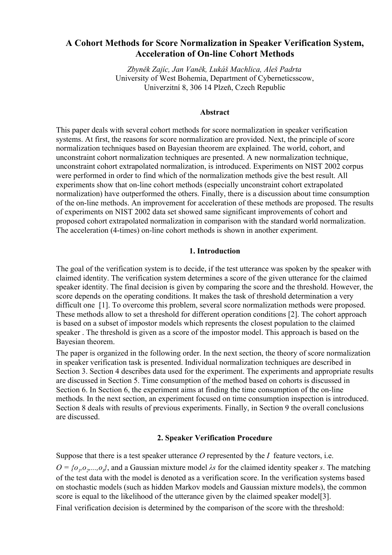# **A Cohort Methods for Score Normalization in Speaker Verification System, Acceleration of On-line Cohort Methods**

*Zbyněk Zajíc, Jan Vaněk, Lukáš Machlica, Aleš Padrta* University of West Bohemia, Department of Cyberneticsscow, Univerzitní 8, 306 14 Plzeň, Czech Republic

### **Abstract**

This paper deals with several cohort methods for score normalization in speaker verification systems. At first, the reasons for score normalization are provided. Next, the principle of score normalization techniques based on Bayesian theorem are explained. The world, cohort, and unconstraint cohort normalization techniques are presented. A new normalization technique, unconstraint cohort extrapolated normalization, is introduced. Experiments on NIST 2002 corpus were performed in order to find which of the normalization methods give the best result. All experiments show that on-line cohort methods (especially unconstraint cohort extrapolated normalization) have outperformed the others. Finally, there is a discussion about time consumption of the on-line methods. An improvement for acceleration of these methods are proposed. The results of experiments on NIST 2002 data set showed same significant improvements of cohort and proposed cohort extrapolated normalization in comparison with the standard world normalization. The acceleration (4-times) on-line cohort methods is shown in another experiment.

### **1. Introduction**

The goal of the verification system is to decide, if the test utterance was spoken by the speaker with claimed identity. The verification system determines a score of the given utterance for the claimed speaker identity. The final decision is given by comparing the score and the threshold. However, the score depends on the operating conditions. It makes the task of threshold determination a very difficult one [1]. To overcome this problem, several score normalization methods were proposed. These methods allow to set a threshold for different operation conditions [2]. The cohort approach is based on a subset of impostor models which represents the closest population to the claimed speaker . The threshold is given as a score of the impostor model. This approach is based on the Bayesian theorem.

The paper is organized in the following order. In the next section, the theory of score normalization in speaker verification task is presented. Individual normalization techniques are described in Section 3. Section 4 describes data used for the experiment. The experiments and appropriate results are discussed in Section 5. Time consumption of the method based on cohorts is discussed in Section 6. In Section 6, the experiment aims at finding the time consumption of the on-line methods. In the next section, an experiment focused on time consumption inspection is introduced. Section 8 deals with results of previous experiments. Finally, in Section 9 the overall conclusions are discussed.

## **2. Speaker Verification Procedure**

Suppose that there is a test speaker utterance *O* represented by the *I* feature vectors, i.e.

 $O = \{o_1, o_2, \ldots, o_l\}$ , and a Gaussian mixture model *λs* for the claimed identity speaker *s*. The matching of the test data with the model is denoted as a verification score. In the verification systems based on stochastic models (such as hidden Markov models and Gaussian mixture models), the common score is equal to the likelihood of the utterance given by the claimed speaker model[3].

Final verification decision is determined by the comparison of the score with the threshold: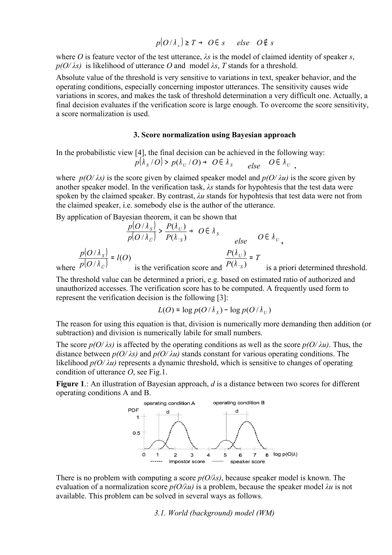$p(O/\lambda_{s}) \geq T \rightarrow O \in s$  else  $O \notin s$ 

where *O* is feature vector of the test utterance, *λs* is the model of claimed identity of speaker *s*,  $p(O/\lambda s)$  is likelihood of utterance *O* and model  $\lambda s$ , *T* stands for a threshold.

Absolute value of the threshold is very sensitive to variations in text, speaker behavior, and the operating conditions, especially concerning impostor utterances. The sensitivity causes wide variations in scores, and makes the task of threshold determination a very difficult one. Actually, a final decision evaluates if the verification score is large enough. To overcome the score sensitivity, a score normalization is used.

#### **3. Score normalization using Bayesian approach**

In the probabilistic view [4], the final decision can be achieved in the following way:  $p(\lambda_{\;S}\{/O) \,>\, p(\lambda_{\;U}\{/O) \,\rightarrow\,\, O\,\epsilon\,}\,\lambda_{\;S}$  $else \quad O \in \ \lambda_{\,\, U}$  .

where  $p(O/\lambda s)$  is the score given by claimed speaker model and  $p(O/\lambda u)$  is the score given by another speaker model. In the verification task, *λs* stands for hypohtesis that the test data were spoken by the claimed speaker. By contrast, *λu* stands for hypohtesis that test data were not from the claimed speaker, i.e. somebody else is the author of the utterance.

By application of Bayesian theorem, it can be shown that

$$
\frac{p(O/\lambda_{s})}{p(O/\lambda_{c})} > \frac{P(\lambda_{U})}{P(\lambda_{s})} \to O \in \lambda_{s}
$$
\n
$$
\frac{p(O/\lambda_{s})}{p(O/\lambda_{c})} = l(O)
$$
\n
$$
\frac{p(O/\lambda_{s})}{\text{is the verification score and }} \frac{P(\lambda_{U})}{P(\lambda_{s})} = T
$$
\nis a priori determined threshold.

The threshold value can be determined a priori, e.g. based on estimated ratio of authorized and unauthorized accesses. The verification score has to be computed. A frequently used form to represent the verification decision is the following [3]:

$$
L(O) = \log p(O/\lambda_s) - \log p(O/\lambda_U)
$$

The reason for using this equation is that, division is numerically more demanding then addition (or subtraction) and division is numerically labile for small numbers.

The score  $p(O/\lambda s)$  is affected by the operating conditions as well as the score  $p(O/\lambda u)$ . Thus, the distance between  $p(O/\lambda s)$  and  $p(O/\lambda u)$  stands constant for various operating conditions. The likelihood  $p(O/\lambda u)$  represents a dynamic threshold, which is sensitive to changes of operating condition of utterance *O*, see Fig.1.

**Figure 1**.: An illustration of Bayesian approach, *d* is a distance between two scores for different operating conditions A and B.



There is no problem with computing a score *p(O/λs)*, because speaker model is known. The evaluation of a normalization score *p(O/λu)* is a problem, because the speaker model *λu* is not available. This problem can be solved in several ways as follows.

*3.1. World (background) model (WM)*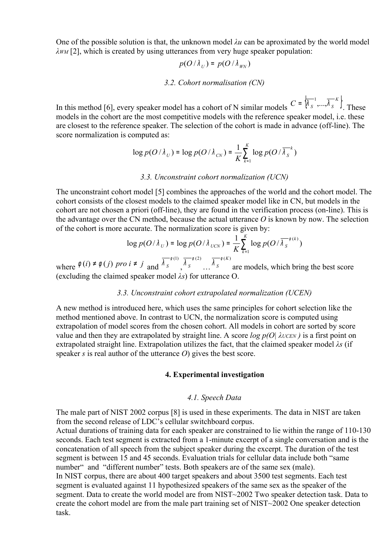One of the possible solution is that, the unknown model  $\lambda u$  can be aproximated by the world model *λWM* [2], which is created by using utterances from very huge speaker population:

$$
p(O/\lambda_U) = p(O/\lambda_{WN})
$$

#### *3.2. Cohort normalisation (CN)*

In this method [6], every speaker model has a cohort of N similar models  $C = \begin{bmatrix} \begin{smallmatrix} k & s & \cdots & s \\ s & \end{smallmatrix} \end{bmatrix}$ .  $C = \left\{\overline{\lambda_s^{-1}}, \ldots, \overline{\lambda_s^{-K}}\right\}$  $=$   $\begin{bmatrix} \lambda & \ldots & \lambda & \ldots \\ \end{bmatrix}$ . These models in the cohort are the most competitive models with the reference speaker model, i.e. these are closest to the reference speaker. The selection of the cohort is made in advance (off-line). The score normalization is computed as:

$$
\log p(O/\lambda_U) = \log p(O/\lambda_{CN}) = \frac{1}{K} \sum_{k=1}^{K} \log p(O/\overline{\lambda_S}^k)
$$

#### *3.3. Unconstraint cohort normalization (UCN)*

The unconstraint cohort model [5] combines the approaches of the world and the cohort model. The cohort consists of the closest models to the claimed speaker model like in CN, but models in the cohort are not chosen a priori (off-line), they are found in the verification process (on-line). This is the advantage over the CN method, because the actual utterance *O* is known by now. The selection of the cohort is more accurate. The normalization score is given by:

$$
\log p(O/\lambda_U) = \log p(O/\lambda_{UCN}) = \frac{1}{K} \sum_{k=1}^{K} \log p(O/\overline{\lambda_S}^{\phi(k)})
$$

where  $\phi(i) \neq \phi(j)$  *pro*  $i \neq j$  and  $\overline{\lambda_S}^{\phi(1)},$  $\overline{\lambda_S}^{\phi(2)}$   $\overline{\lambda_S}^{\phi(K)}$ *S*  $\overline{\lambda}^{\phi(K)}$  are models, which bring the best score (excluding the claimed speaker model *λs*) for utterance O.

### *3.3. Unconstraint cohort extrapolated normalization (UCEN)*

A new method is introduced here, which uses the same principles for cohort selection like the method mentioned above. In contrast to UCN, the normalization score is computed using extrapolation of model scores from the chosen cohort. All models in cohort are sorted by score value and then they are extrapolated by straight line. A score *log p(O| λUCEN )* is a first point on extrapolated straight line. Extrapolation utilizes the fact, that the claimed speaker model *λs* (if speaker *s* is real author of the utterance *O*) gives the best score.

#### **4. Experimental investigation**

### *4.1. Speech Data*

The male part of NIST 2002 corpus [8] is used in these experiments. The data in NIST are taken from the second release of LDC's cellular switchboard corpus.

Actual durations of training data for each speaker are constrained to lie within the range of 110-130 seconds. Each test segment is extracted from a 1-minute excerpt of a single conversation and is the concatenation of all speech from the subject speaker during the excerpt. The duration of the test segment is between 15 and 45 seconds. Evaluation trials for cellular data include both "same number" and "different number" tests. Both speakers are of the same sex (male). In NIST corpus, there are about 400 target speakers and about 3500 test segments. Each test segment is evaluated against 11 hypothesized speakers of the same sex as the speaker of the segment. Data to create the world model are from NIST~2002 Two speaker detection task. Data to create the cohort model are from the male part training set of NIST~2002 One speaker detection task.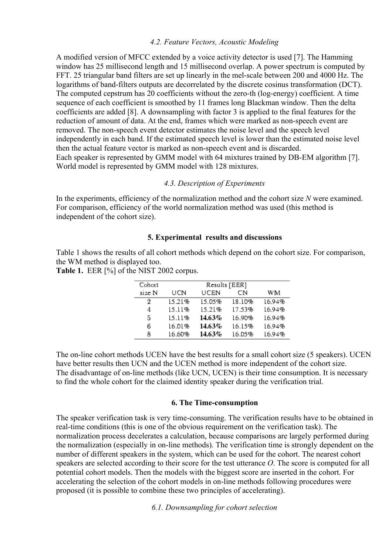## *4.2. Feature Vectors, Acoustic Modeling*

A modified version of MFCC extended by a voice activity detector is used [7]. The Hamming window has 25 millisecond length and 15 millisecond overlap. A power spectrum is computed by FFT. 25 triangular band filters are set up linearly in the mel-scale between 200 and 4000 Hz. The logarithms of band-filters outputs are decorrelated by the discrete cosinus transformation (DCT). The computed cepstrum has 20 coefficients without the zero-th (log-energy) coefficient. A time sequence of each coefficient is smoothed by 11 frames long Blackman window. Then the delta coefficients are added [8]. A downsampling with factor 3 is applied to the final features for the reduction of amount of data. At the end, frames which were marked as non-speech event are removed. The non-speech event detector estimates the noise level and the speech level independently in each band. If the estimated speech level is lower than the estimated noise level then the actual feature vector is marked as non-speech event and is discarded. Each speaker is represented by GMM model with 64 mixtures trained by DB-EM algorithm [7]. World model is represented by GMM model with 128 mixtures.

## *4.3. Description of Experiments*

In the experiments, efficiency of the normalization method and the cohort size *N* were examined. For comparison, efficiency of the world normalization method was used (this method is independent of the cohort size).

## **5. Experimental results and discussions**

Table 1 shows the results of all cohort methods which depend on the cohort size. For comparison, the WM method is displayed too.

**Table 1.** EER [%] of the NIST 2002 corpus.

| Cohort | Results [EER] |        |        |        |  |
|--------|---------------|--------|--------|--------|--|
| size N | UCN           | UCEN   | CN     | WМ     |  |
| 2      | 15.21%        | 15.05% | 18.10% | 16.94% |  |
| 4      | 15.11%        | 15.21% | 17.53% | 16.94% |  |
| 5      | 15.11%        | 14.63% | 16.90% | 16.94% |  |
| 6      | 16.01%        | 14.63% | 16.15% | 16.94% |  |
| 8      | 16.60%        | 14.63% | 16.05% | 16.94% |  |

The on-line cohort methods UCEN have the best results for a small cohort size (5 speakers). UCEN have better results then UCN and the UCEN method is more independent of the cohort size. The disadvantage of on-line methods (like UCN, UCEN) is their time consumption. It is necessary to find the whole cohort for the claimed identity speaker during the verification trial.

## **6. The Time-consumption**

The speaker verification task is very time-consuming. The verification results have to be obtained in real-time conditions (this is one of the obvious requirement on the verification task). The normalization process decelerates a calculation, because comparisons are largely performed during the normalization (especially in on-line methods). The verification time is strongly dependent on the number of different speakers in the system, which can be used for the cohort. The nearest cohort speakers are selected according to their score for the test utterance *O*. The score is computed for all potential cohort models. Then the models with the biggest score are inserted in the cohort. For accelerating the selection of the cohort models in on-line methods following procedures were proposed (it is possible to combine these two principles of accelerating).

*6.1. Downsampling for cohort selection*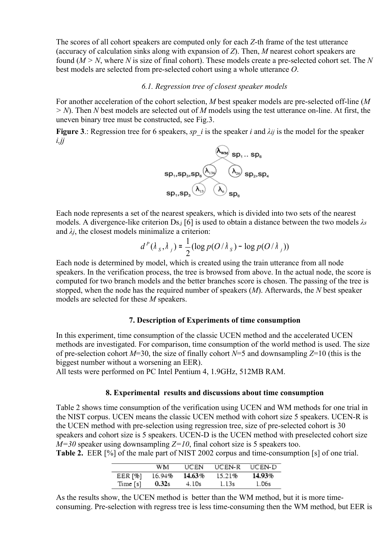The scores of all cohort speakers are computed only for each *Z*-th frame of the test utterance (accuracy of calculation sinks along with expansion of *Z*). Then, *M* nearest cohort speakers are found (*M > N*, where *N* is size of final cohort). These models create a pre-selected cohort set. The *N* best models are selected from pre-selected cohort using a whole utterance *O*.

#### *6.1. Regression tree of closest speaker models*

For another acceleration of the cohort selection, *M* best speaker models are pre-selected off-line (*M > N*). Then *N* best models are selected out of *M* models using the test utterance on-line. At first, the uneven binary tree must be constructed, see Fig.3.

**Figure 3**.: Regression tree for 6 speakers, *sp\_i* is the speaker *i* and  $\lambda$ *ij* is the model for the speaker *i,jj*



Each node represents a set of the nearest speakers, which is divided into two sets of the nearest models. A divergence-like criterion Ds,j [6] is used to obtain a distance between the two models *λs* and  $\lambda$ *i*, the closest models minimalize a criterion:

$$
d^{P}(\lambda_{s}, \lambda_{j}) = \frac{1}{2} (\log p(O/\lambda_{s}) - \log p(O/\lambda_{j}))
$$

Each node is determined by model, which is created using the train utterance from all node speakers. In the verification process, the tree is browsed from above. In the actual node, the score is computed for two branch models and the better branches score is chosen. The passing of the tree is stopped, when the node has the required number of speakers (*M*). Afterwards, the *N* best speaker models are selected for these *M* speakers.

#### **7. Description of Experiments of time consumption**

In this experiment, time consumption of the classic UCEN method and the accelerated UCEN methods are investigated. For comparison, time consumption of the world method is used. The size of pre-selection cohort *M*=30, the size of finally cohort *N*=5 and downsampling *Z*=10 (this is the biggest number without a worsening an EER).

All tests were performed on PC Intel Pentium 4, 1.9GHz, 512MB RAM.

### **8. Experimental results and discussions about time consumption**

Table 2 shows time consumption of the verification using UCEN and WM methods for one trial in the NIST corpus. UCEN means the classic UCEN method with cohort size 5 speakers. UCEN-R is the UCEN method with pre-selection using regression tree, size of pre-selected cohort is 30 speakers and cohort size is 5 speakers. UCEN-D is the UCEN method with preselected cohort size  $M=30$  speaker using downsampling  $Z=10$ , final cohort size is 5 speakers too. **Table 2.** EER [%] of the male part of NIST 2002 corpus and time-consumption [s] of one trial.

|          | WM     | UCEN   | UCEN-R | UCEN-D |
|----------|--------|--------|--------|--------|
| EER [%]  | 16.94% | 14.63% | 15.21% | 14.93% |
| Time [s] | 0.32s  | 4.10s  | 1.13s  | 1.06s  |

As the results show, the UCEN method is better than the WM method, but it is more timeconsuming. Pre-selection with regress tree is less time-consuming then the WM method, but EER is